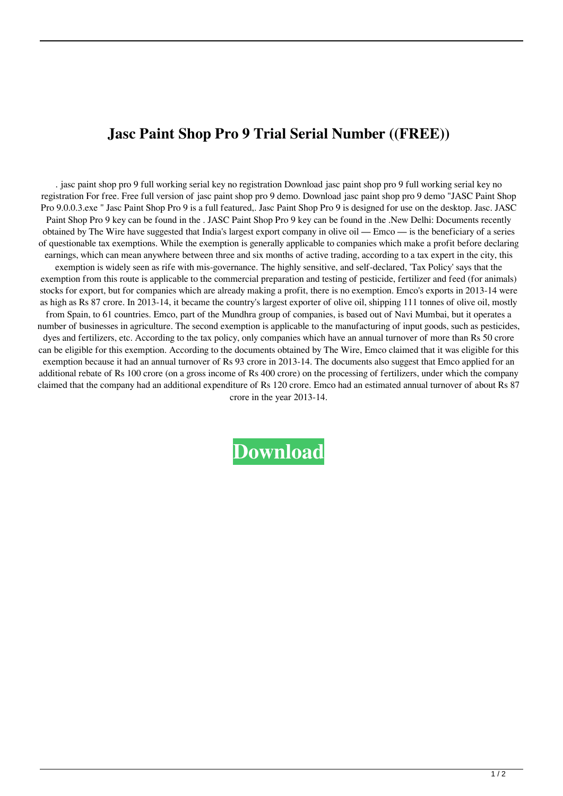## **Jasc Paint Shop Pro 9 Trial Serial Number ((FREE))**

. jasc paint shop pro 9 full working serial key no registration Download jasc paint shop pro 9 full working serial key no registration For free. Free full version of jasc paint shop pro 9 demo. Download jasc paint shop pro 9 demo "JASC Paint Shop Pro 9.0.0.3.exe " Jasc Paint Shop Pro 9 is a full featured,. Jasc Paint Shop Pro 9 is designed for use on the desktop. Jasc. JASC Paint Shop Pro 9 key can be found in the . JASC Paint Shop Pro 9 key can be found in the .New Delhi: Documents recently obtained by The Wire have suggested that India's largest export company in olive oil — Emco — is the beneficiary of a series of questionable tax exemptions. While the exemption is generally applicable to companies which make a profit before declaring earnings, which can mean anywhere between three and six months of active trading, according to a tax expert in the city, this exemption is widely seen as rife with mis-governance. The highly sensitive, and self-declared, 'Tax Policy' says that the exemption from this route is applicable to the commercial preparation and testing of pesticide, fertilizer and feed (for animals) stocks for export, but for companies which are already making a profit, there is no exemption. Emco's exports in 2013-14 were as high as Rs 87 crore. In 2013-14, it became the country's largest exporter of olive oil, shipping 111 tonnes of olive oil, mostly from Spain, to 61 countries. Emco, part of the Mundhra group of companies, is based out of Navi Mumbai, but it operates a number of businesses in agriculture. The second exemption is applicable to the manufacturing of input goods, such as pesticides, dyes and fertilizers, etc. According to the tax policy, only companies which have an annual turnover of more than Rs 50 crore can be eligible for this exemption. According to the documents obtained by The Wire, Emco claimed that it was eligible for this exemption because it had an annual turnover of Rs 93 crore in 2013-14. The documents also suggest that Emco applied for an additional rebate of Rs 100 crore (on a gross income of Rs 400 crore) on the processing of fertilizers, under which the company claimed that the company had an additional expenditure of Rs 120 crore. Emco had an estimated annual turnover of about Rs 87 crore in the year 2013-14.